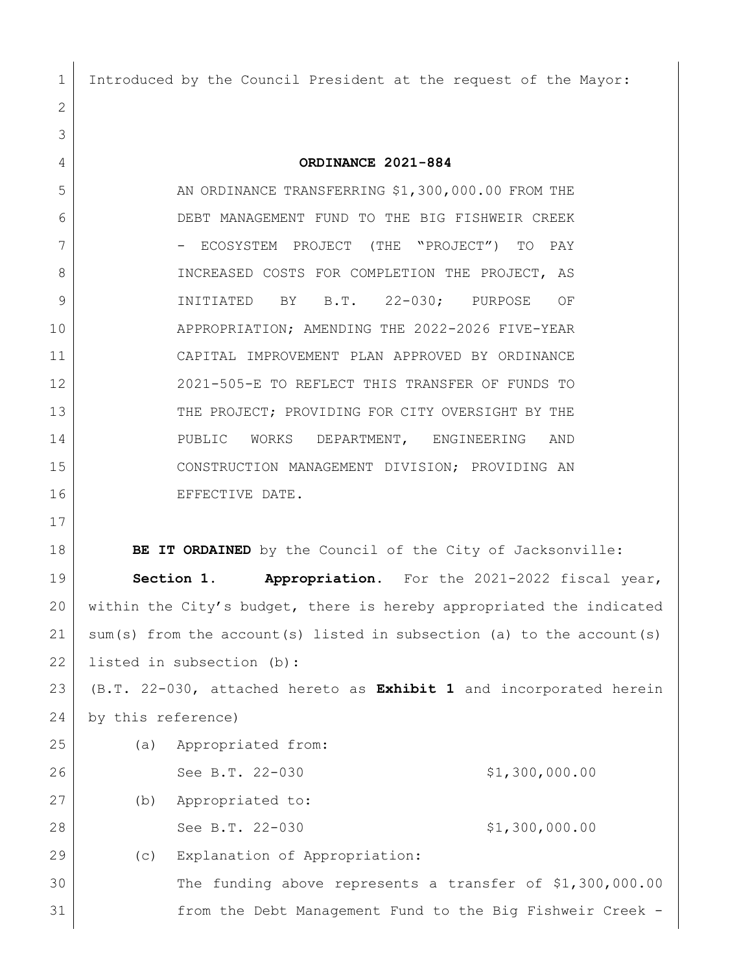Introduced by the Council President at the request of the Mayor:

## **ORDINANCE 2021-884**

5 AN ORDINANCE TRANSFERRING \$1,300,000.00 FROM THE DEBT MANAGEMENT FUND TO THE BIG FISHWEIR CREEK 7 | COSYSTEM PROJECT (THE "PROJECT") TO PAY 8 INCREASED COSTS FOR COMPLETION THE PROJECT, AS INITIATED BY B.T. 22-030; PURPOSE OF APPROPRIATION; AMENDING THE 2022-2026 FIVE-YEAR CAPITAL IMPROVEMENT PLAN APPROVED BY ORDINANCE 2021-505-E TO REFLECT THIS TRANSFER OF FUNDS TO 13 THE PROJECT; PROVIDING FOR CITY OVERSIGHT BY THE 14 PUBLIC WORKS DEPARTMENT, ENGINEERING AND CONSTRUCTION MANAGEMENT DIVISION; PROVIDING AN 16 EFFECTIVE DATE.

**BE IT ORDAINED** by the Council of the City of Jacksonville:

 **Section 1. Appropriation.** For the 2021-2022 fiscal year, within the City's budget, there is hereby appropriated the indicated sum(s) from the account(s) listed in subsection (a) to the account(s) listed in subsection (b):

 (B.T. 22-030, attached hereto as **Exhibit 1** and incorporated herein by this reference)

| 25 | (a) | Appropriated from:                                        |                |
|----|-----|-----------------------------------------------------------|----------------|
| 26 |     | See B.T. 22-030                                           | \$1,300,000.00 |
| 27 | (b) | Appropriated to:                                          |                |
| 28 |     | See B.T. 22-030                                           | \$1,300,000.00 |
| 29 | (C) | Explanation of Appropriation:                             |                |
| 30 |     | The funding above represents a transfer of \$1,300,000.00 |                |
| 31 |     | from the Debt Management Fund to the Big Fishweir Creek - |                |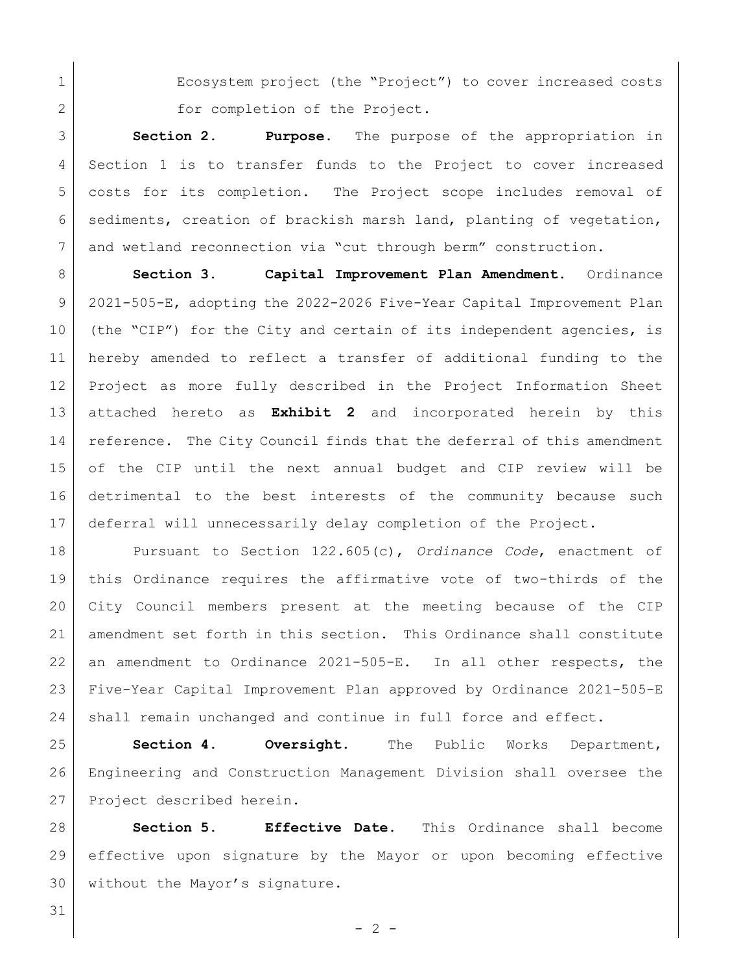1 Ecosystem project (the "Project") to cover increased costs 2 for completion of the Project.

 **Section 2. Purpose.** The purpose of the appropriation in Section 1 is to transfer funds to the Project to cover increased costs for its completion. The Project scope includes removal of sediments, creation of brackish marsh land, planting of vegetation, and wetland reconnection via "cut through berm" construction.

 **Section 3. Capital Improvement Plan Amendment.** Ordinance 2021-505-E, adopting the 2022-2026 Five-Year Capital Improvement Plan (the "CIP") for the City and certain of its independent agencies, is hereby amended to reflect a transfer of additional funding to the Project as more fully described in the Project Information Sheet attached hereto as **Exhibit 2** and incorporated herein by this reference. The City Council finds that the deferral of this amendment of the CIP until the next annual budget and CIP review will be detrimental to the best interests of the community because such deferral will unnecessarily delay completion of the Project.

 Pursuant to Section 122.605(c), *Ordinance Code*, enactment of this Ordinance requires the affirmative vote of two-thirds of the City Council members present at the meeting because of the CIP amendment set forth in this section. This Ordinance shall constitute an amendment to Ordinance 2021-505-E. In all other respects, the Five-Year Capital Improvement Plan approved by Ordinance 2021-505-E 24 shall remain unchanged and continue in full force and effect.

 **Section 4. Oversight.** The Public Works Department, Engineering and Construction Management Division shall oversee the Project described herein.

 **Section 5. Effective Date.** This Ordinance shall become effective upon signature by the Mayor or upon becoming effective 30 without the Mayor's signature.

 $-2 -$